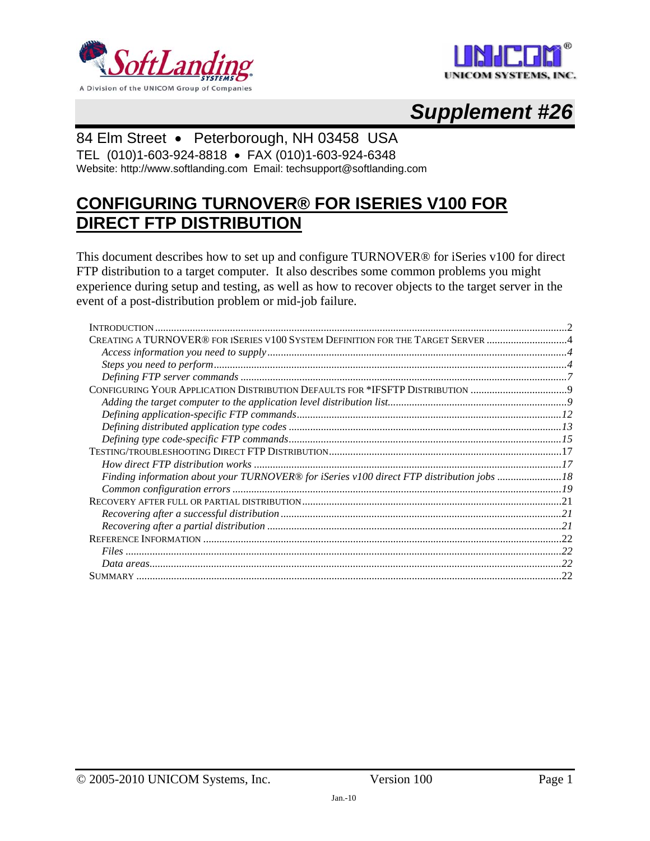



# *Supplement #26*

### 84 Elm Street • Peterborough, NH 03458 USA

TEL (010)1-603-924-8818 • FAX (010)1-603-924-6348 Website: http://www.softlanding.com Email: techsupport@softlanding.com

## **CONFIGURING TURNOVER® FOR ISERIES V100 FOR DIRECT FTP DISTRIBUTION**

This document describes how to set up and configure TURNOVER® for iSeries v100 for direct FTP distribution to a target computer. It also describes some common problems you might experience during setup and testing, as well as how to recover objects to the target server in the event of a post-distribution problem or mid-job failure.

| CREATING A TURNOVER® FOR ISERIES V100 SYSTEM DEFINITION FOR THE TARGET SERVER 4           |  |
|-------------------------------------------------------------------------------------------|--|
|                                                                                           |  |
|                                                                                           |  |
|                                                                                           |  |
| CONFIGURING YOUR APPLICATION DISTRIBUTION DEFAULTS FOR *IFSFTP DISTRIBUTION               |  |
|                                                                                           |  |
|                                                                                           |  |
|                                                                                           |  |
|                                                                                           |  |
|                                                                                           |  |
|                                                                                           |  |
| Finding information about your TURNOVER® for iSeries v100 direct FTP distribution jobs 18 |  |
|                                                                                           |  |
|                                                                                           |  |
|                                                                                           |  |
|                                                                                           |  |
|                                                                                           |  |
|                                                                                           |  |
|                                                                                           |  |
|                                                                                           |  |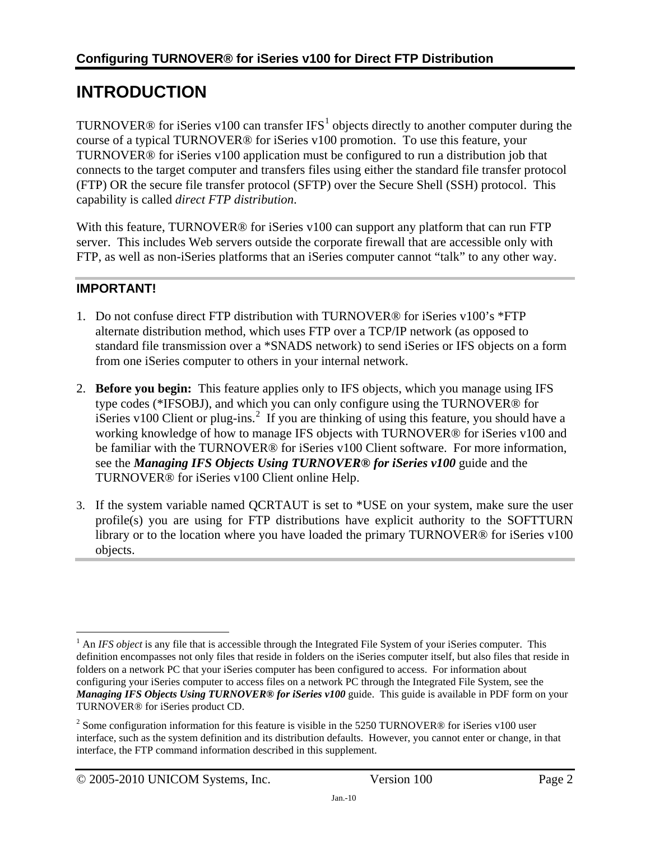## <span id="page-1-1"></span><span id="page-1-0"></span>**INTRODUCTION**

TURNOVER® for iSeries v[1](#page-1-2)00 can transfer IFS<sup>1</sup> objects directly to another computer during the course of a typical TURNOVER® for iSeries v100 promotion. To use this feature, your TURNOVER® for iSeries v100 application must be configured to run a distribution job that connects to the target computer and transfers files using either the standard file transfer protocol (FTP) OR the secure file transfer protocol (SFTP) over the Secure Shell (SSH) protocol. This capability is called *direct FTP distribution*.

With this feature, TURNOVER<sup>®</sup> for iSeries v100 can support any platform that can run FTP server. This includes Web servers outside the corporate firewall that are accessible only with FTP, as well as non-iSeries platforms that an iSeries computer cannot "talk" to any other way.

### **IMPORTANT!**

- 1. Do not confuse direct FTP distribution with TURNOVER® for iSeries v100's \*FTP alternate distribution method, which uses FTP over a TCP/IP network (as opposed to standard file transmission over a \*SNADS network) to send iSeries or IFS objects on a form from one iSeries computer to others in your internal network.
- 2. **Before you begin:** This feature applies only to IFS objects, which you manage using IFS type codes (\*IFSOBJ), and which you can only configure using the TURNOVER® for iSeries v100 Client or plug-ins.<sup>[2](#page-1-3)</sup> If you are thinking of using this feature, you should have a working knowledge of how to manage IFS objects with TURNOVER® for iSeries v100 and be familiar with the TURNOVER® for iSeries v100 Client software. For more information, see the *Managing IFS Objects Using TURNOVER® for iSeries v100* guide and the TURNOVER® for iSeries v100 Client online Help.
- 3. If the system variable named QCRTAUT is set to \*USE on your system, make sure the user profile(s) you are using for FTP distributions have explicit authority to the SOFTTURN library or to the location where you have loaded the primary TURNOVER® for iSeries v100 objects.

<span id="page-1-2"></span> $\overline{a}$  $1$  An *IFS object* is any file that is accessible through the Integrated File System of your iSeries computer. This definition encompasses not only files that reside in folders on the iSeries computer itself, but also files that reside in folders on a network PC that your iSeries computer has been configured to access. For information about configuring your iSeries computer to access files on a network PC through the Integrated File System, see the *Managing IFS Objects Using TURNOVER® for iSeries v100* guide. This guide is available in PDF form on your TURNOVER® for iSeries product CD.

<span id="page-1-3"></span><sup>&</sup>lt;sup>2</sup> Some configuration information for this feature is visible in the 5250 TURNOVER® for iSeries v100 user interface, such as the system definition and its distribution defaults. However, you cannot enter or change, in that interface, the FTP command information described in this supplement.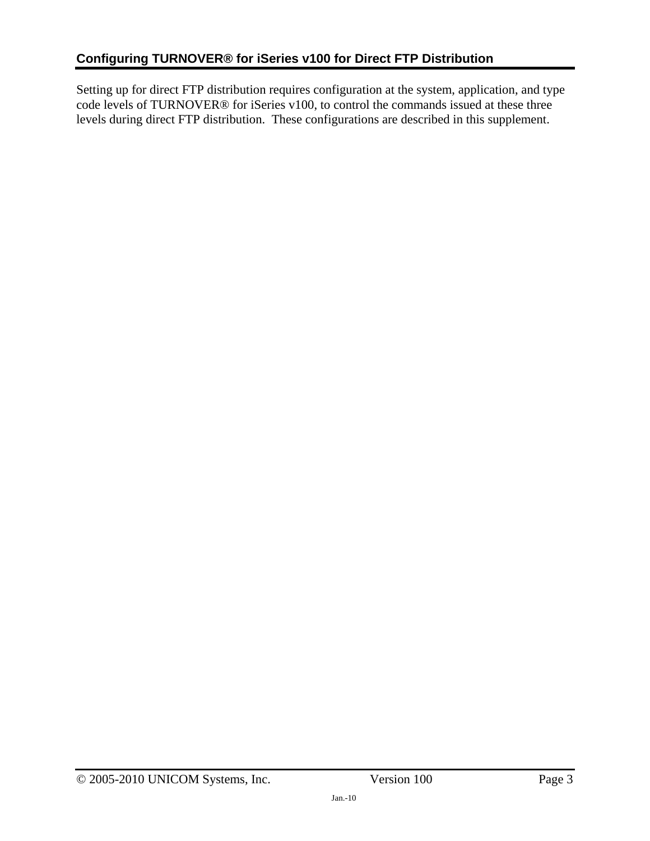Setting up for direct FTP distribution requires configuration at the system, application, and type code levels of TURNOVER® for iSeries v100, to control the commands issued at these three levels during direct FTP distribution. These configurations are described in this supplement.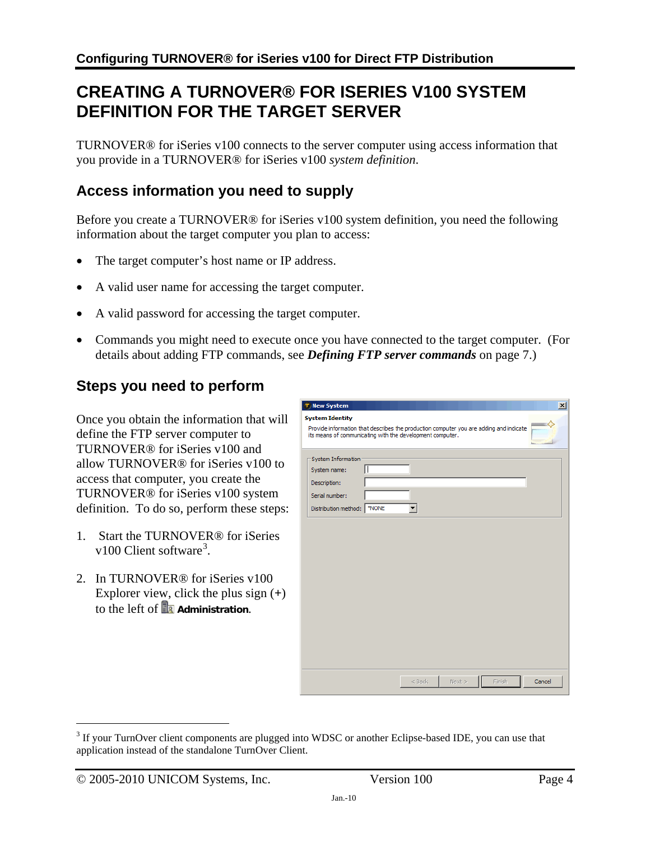## <span id="page-3-1"></span><span id="page-3-0"></span>**CREATING A TURNOVER® FOR ISERIES V100 SYSTEM DEFINITION FOR THE TARGET SERVER**

TURNOVER® for iSeries v100 connects to the server computer using access information that you provide in a TURNOVER® for iSeries v100 *system definition*.

## <span id="page-3-2"></span>**Access information you need to supply**

Before you create a TURNOVER® for iSeries v100 system definition, you need the following information about the target computer you plan to access:

- The target computer's host name or IP address.
- A valid user name for accessing the target computer.
- A valid password for accessing the target computer.
- Commands you might need to execute once you have connected to the target computer. (For details about adding FTP commands, see *[Defining FTP server commands](#page-6-1)* on page [7](#page-6-1).)

### <span id="page-3-3"></span>**Steps you need to perform**

Once you obtain the information that will define the FTP server computer to TURNOVER® for iSeries v100 and allow TURNOVER® for iSeries v100 to access that computer, you create the TURNOVER® for iSeries v100 system definition. To do so, perform these steps:

- 1. Start the TURNOVER® for iSeries v100 Client software<sup>[3](#page-3-4)</sup>.
- 2. In TURNOVER® for iSeries v100 Explorer view, click the plus sign (**+**) to the left of **A** Administration.

| T New System                                                                                                                                                                  |          |      |        |        |
|-------------------------------------------------------------------------------------------------------------------------------------------------------------------------------|----------|------|--------|--------|
| <b>System Identity</b><br>Provide information that describes the production computer you are adding and indicate<br>its means of communicating with the development computer. |          |      |        |        |
| System Information                                                                                                                                                            |          |      |        |        |
| System name:<br>Description:                                                                                                                                                  |          |      |        |        |
| Serial number:                                                                                                                                                                |          |      |        |        |
|                                                                                                                                                                               |          |      |        |        |
|                                                                                                                                                                               |          |      |        |        |
|                                                                                                                                                                               |          |      |        |        |
|                                                                                                                                                                               |          |      |        |        |
|                                                                                                                                                                               |          |      |        |        |
|                                                                                                                                                                               | $<$ Back | Next | Finish | Cancel |

 $\overline{a}$ 

<span id="page-3-4"></span> $3$  If your TurnOver client components are plugged into WDSC or another Eclipse-based IDE, you can use that application instead of the standalone TurnOver Client.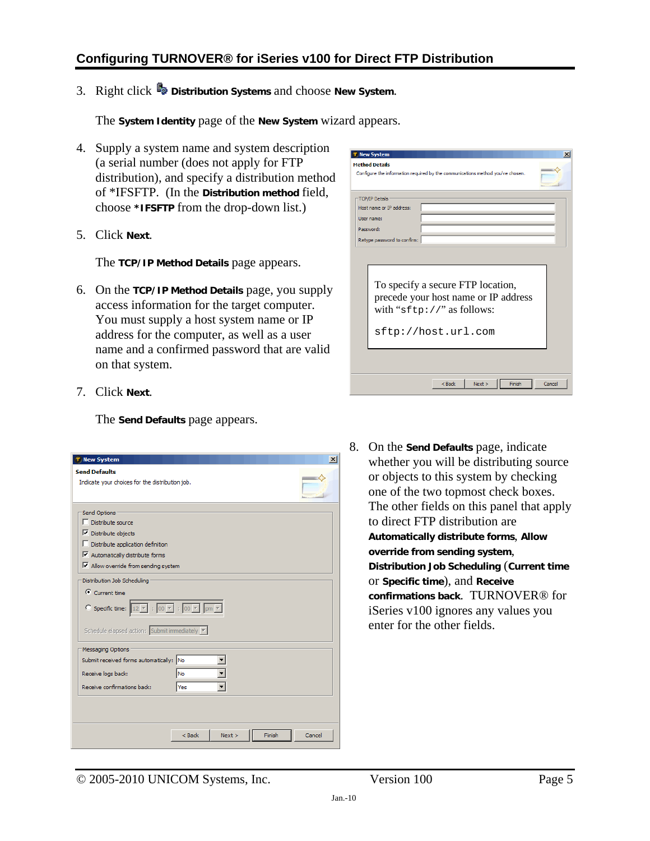### **Configuring TURNOVER® for iSeries v100 for Direct FTP Distribution**

3. Right click **Distribution Systems** and choose **New System**.

The **System Identity** page of the **New System** wizard appears.

- 4. Supply a system name and system description (a serial number (does not apply for FTP distribution), and specify a distribution method of \*IFSFTP. (In the **Distribution method** field, choose **\*IFSFTP** from the drop-down list.)
- <span id="page-4-0"></span>5. Click **Next**.

The **TCP/IP Method Details** page appears.

6. On the **TCP/IP Method Details** page, you supply access information for the target computer. You must supply a host system name or IP address for the computer, as well as a user name and a confirmed password that are valid on that system.

| <b>New System</b><br>×                                                                                                                                                                                                                           |
|--------------------------------------------------------------------------------------------------------------------------------------------------------------------------------------------------------------------------------------------------|
| <b>Method Details</b><br>Configure the information required by the communications method you've chosen.                                                                                                                                          |
| <b>TCP/IP Details</b><br>Host name or IP address:<br>User name:<br>Password:<br>Retype password to confirm:<br>To specify a secure FTP location,<br>precede your host name or IP address<br>with " $sftp://"$ as follows:<br>sftp://host.url.com |
|                                                                                                                                                                                                                                                  |
| Next<br>Cancel<br>$<$ Back<br>Finish                                                                                                                                                                                                             |

7. Click **Next**.

The **Send Defaults** page appears.

| <b>New System</b>                                                                                                                       | $\times$ |
|-----------------------------------------------------------------------------------------------------------------------------------------|----------|
| <b>Send Defaults</b>                                                                                                                    |          |
| Indicate your choices for the distribution job.                                                                                         |          |
| Send Options                                                                                                                            |          |
| Distribute source                                                                                                                       |          |
| $\nabla$ Distribute objects                                                                                                             |          |
| $\Box$ Distribute application definition                                                                                                |          |
| $\nabla$ Automatically distribute forms                                                                                                 |          |
| $\triangledown$ Allow override from sending system                                                                                      |          |
| Distribution Job Scheduling                                                                                                             |          |
| $\bullet$ Current time<br>$\bigcirc$ Specific time: $\boxed{12 \times}$ : $\boxed{00 \times}$ : $\boxed{00 \times}$ $\boxed{pm \times}$ |          |
| Schedule elapsed action: Submit immediately                                                                                             |          |
| Messaging Options                                                                                                                       |          |
| <b>INo</b><br>Submit received forms automatically:                                                                                      |          |
| Receive logs back:<br><b>No</b>                                                                                                         |          |
| Receive confirmations back:<br>Yes                                                                                                      |          |
|                                                                                                                                         |          |
|                                                                                                                                         |          |
| Finish<br>Next<br>$<$ Back                                                                                                              | Cancel   |

8. On the **Send Defaults** page, indicate whether you will be distributing source or objects to this system by checking one of the two topmost check boxes. The other fields on this panel that apply to direct FTP distribution are **Automatically distribute forms**, **Allow override from sending system**, **Distribution Job Scheduling** (**Current time** or **Specific time**), and **Receive confirmations back**. TURNOVER® for iSeries v100 ignores any values you enter for the other fields.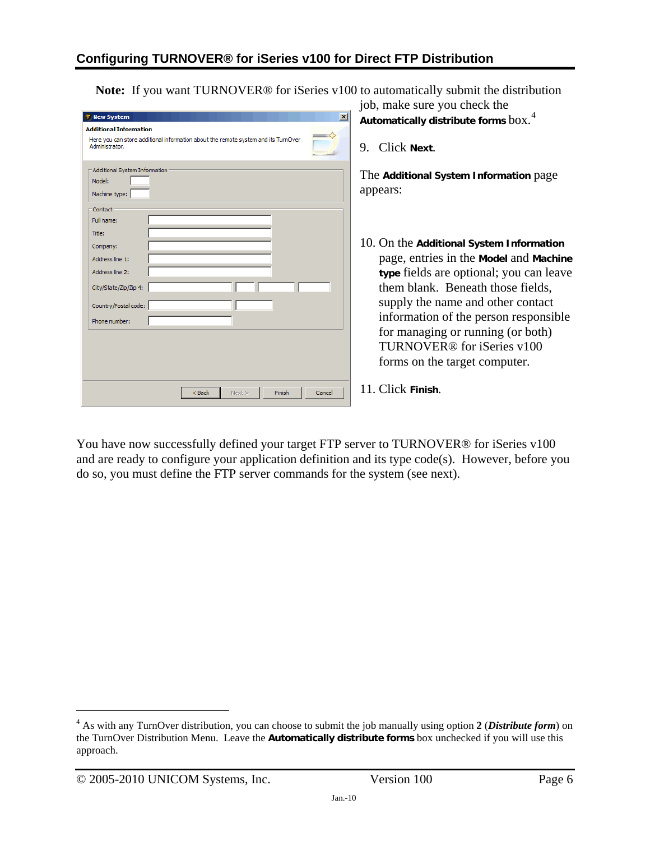**Note:** If you want TURNOVER® for iSeries v100 to automatically submit the distribution job, make sure you check the

|                                                                                                                                                            | jou, make sure you check the                                                                                                                                                                                                                                                                                                                                     |
|------------------------------------------------------------------------------------------------------------------------------------------------------------|------------------------------------------------------------------------------------------------------------------------------------------------------------------------------------------------------------------------------------------------------------------------------------------------------------------------------------------------------------------|
| $\vert x \vert$<br><b>New System</b>                                                                                                                       | Automatically distribute forms $box.$ <sup>4</sup>                                                                                                                                                                                                                                                                                                               |
| <b>Additional Information</b><br>$\Longrightarrow$<br>Here you can store additional information about the remote system and its TurnOver<br>Administrator. | Click Next.<br>9.                                                                                                                                                                                                                                                                                                                                                |
| Additional System Information<br>Model:<br>Machine type:                                                                                                   | The Additional System Information page<br>appears:                                                                                                                                                                                                                                                                                                               |
| Contact<br>Full name:<br>Title:<br>Company:<br>Address line 1:<br>Address line 2:<br>City/State/Zip/Zip 4:<br>Country/Postal code:<br>Phone number:        | 10. On the Additional System Information<br>page, entries in the Model and Machine<br>type fields are optional; you can leave<br>them blank. Beneath those fields,<br>supply the name and other contact<br>information of the person responsible<br>for managing or running (or both)<br>TURNOVER <sup>®</sup> for iSeries v100<br>forms on the target computer. |
| $<$ Back<br>Next ><br>Finish<br>Cancel                                                                                                                     | 11. Click Finish.                                                                                                                                                                                                                                                                                                                                                |

You have now successfully defined your target FTP server to TURNOVER® for iSeries v100 and are ready to configure your application definition and its type code(s). However, before you do so, you must define the FTP server commands for the system (see next).

 $\overline{a}$ 

<span id="page-5-0"></span><sup>4</sup> As with any TurnOver distribution, you can choose to submit the job manually using option **2** (*Distribute form*) on the TurnOver Distribution Menu. Leave the **Automatically distribute forms** box unchecked if you will use this approach.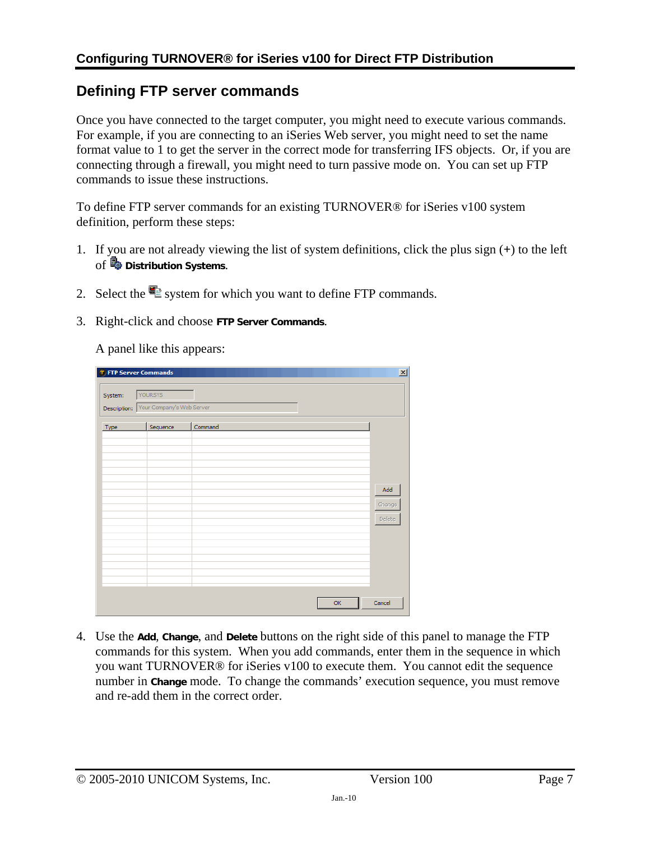## <span id="page-6-1"></span><span id="page-6-0"></span>**Defining FTP server commands**

Once you have connected to the target computer, you might need to execute various commands. For example, if you are connecting to an iSeries Web server, you might need to set the name format value to 1 to get the server in the correct mode for transferring IFS objects. Or, if you are connecting through a firewall, you might need to turn passive mode on. You can set up FTP commands to issue these instructions.

To define FTP server commands for an existing TURNOVER® for iSeries v100 system definition, perform these steps:

- 1. If you are not already viewing the list of system definitions, click the plus sign (**+**) to the left of **Distribution Systems**.
- 2. Select the  $\blacksquare$  system for which you want to define FTP commands.
- 3. Right-click and choose **FTP Server Commands**.

A panel like this appears:

| <b>T</b> FTP Server Commands |                                        |              | $\vert x \vert$ |
|------------------------------|----------------------------------------|--------------|-----------------|
| System:                      | YOURSYS                                |              |                 |
|                              |                                        |              |                 |
|                              | Description: Your Company's Web Server |              |                 |
|                              |                                        |              |                 |
| Type                         | Sequence                               | Command      |                 |
|                              |                                        |              |                 |
|                              |                                        |              |                 |
|                              |                                        |              |                 |
|                              |                                        |              |                 |
|                              |                                        |              |                 |
|                              |                                        | Add          |                 |
|                              |                                        | Change       |                 |
|                              |                                        |              |                 |
|                              |                                        | Delete       |                 |
|                              |                                        |              |                 |
|                              |                                        |              |                 |
|                              |                                        |              |                 |
|                              |                                        |              |                 |
|                              |                                        |              |                 |
|                              |                                        |              |                 |
|                              |                                        |              |                 |
|                              |                                        | OK<br>Cancel |                 |
|                              |                                        |              |                 |

4. Use the **Add**, **Change**, and **Delete** buttons on the right side of this panel to manage the FTP commands for this system. When you add commands, enter them in the sequence in which you want TURNOVER® for iSeries v100 to execute them. You cannot edit the sequence number in **Change** mode. To change the commands' execution sequence, you must remove and re-add them in the correct order.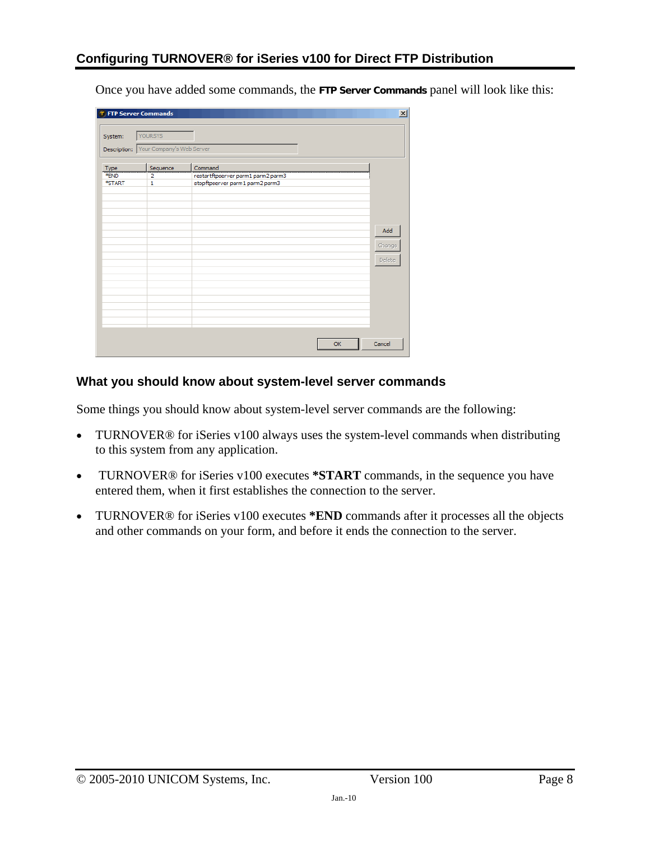Once you have added some commands, the **FTP Server Commands** panel will look like this:

| System:      | YOURSYS                                |                                               |        |
|--------------|----------------------------------------|-----------------------------------------------|--------|
|              | Description: Your Company's Web Server |                                               |        |
| Type<br>*END | Sequence<br>$\overline{2}$             | Command<br>restartftpserver parm1 parm2 parm3 |        |
| *START       | 1                                      | stopftpserver parm1 parm2 parm3               |        |
|              |                                        |                                               |        |
|              |                                        |                                               | Add    |
|              |                                        |                                               | Change |
|              |                                        |                                               | Delete |
|              |                                        |                                               |        |
|              |                                        |                                               |        |
|              |                                        |                                               |        |
|              |                                        | OK                                            | Cancel |

#### **What you should know about system-level server commands**

Some things you should know about system-level server commands are the following:

- TURNOVER<sup>®</sup> for iSeries v100 always uses the system-level commands when distributing to this system from any application.
- TURNOVER® for iSeries v100 executes **\*START** commands, in the sequence you have entered them, when it first establishes the connection to the server.
- TURNOVER® for iSeries v100 executes **\*END** commands after it processes all the objects and other commands on your form, and before it ends the connection to the server.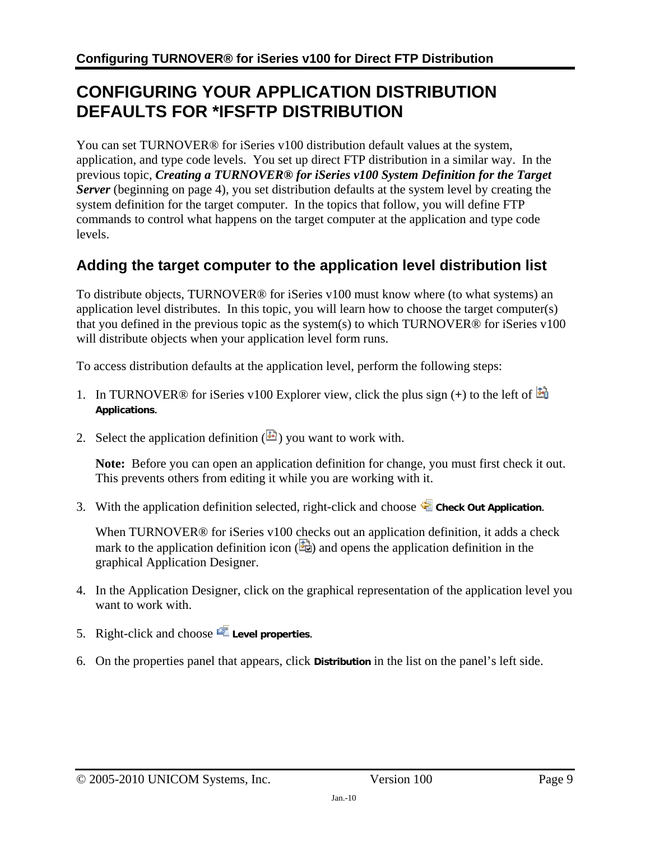## <span id="page-8-1"></span><span id="page-8-0"></span>**CONFIGURING YOUR APPLICATION DISTRIBUTION DEFAULTS FOR \*IFSFTP DISTRIBUTION**

You can set TURNOVER® for iSeries v100 distribution default values at the system, application, and type code levels. You set up direct FTP distribution in a similar way. In the previous topic, *[Creating a TURNOVER® for iSeries v100 System Definition for the Target](#page-3-1)  [Server](#page-3-1)* (beginning on page [4\)](#page-3-1), you set distribution defaults at the system level by creating the system definition for the target computer. In the topics that follow, you will define FTP commands to control what happens on the target computer at the application and type code levels.

## <span id="page-8-2"></span>**Adding the target computer to the application level distribution list**

To distribute objects, TURNOVER® for iSeries v100 must know where (to what systems) an application level distributes. In this topic, you will learn how to choose the target computer(s) that you defined in the previous topic as the system(s) to which TURNOVER® for iSeries v100 will distribute objects when your application level form runs.

To access distribution defaults at the application level, perform the following steps:

- 1. In TURNOVER® for iSeries v100 Explorer view, click the plus sign (**+**) to the left of **Applications**.
- 2. Select the application definition  $(\mathbb{E})$  you want to work with.

**Note:** Before you can open an application definition for change, you must first check it out. This prevents others from editing it while you are working with it.

3. With the application definition selected, right-click and choose **C** check out Application.

When TURNOVER<sup>®</sup> for iSeries v100 checks out an application definition, it adds a check mark to the application definition icon  $(\frac{1}{2})$  and opens the application definition in the graphical Application Designer.

- 4. In the Application Designer, click on the graphical representation of the application level you want to work with.
- 5. Right-click and choose **Level properties**.
- 6. On the properties panel that appears, click **Distribution** in the list on the panel's left side.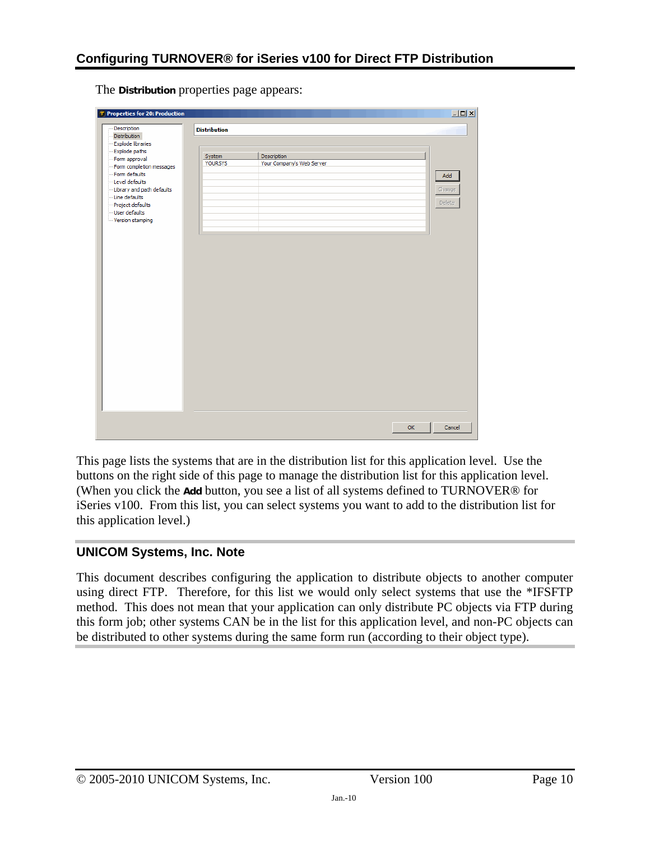The **Distribution** properties page appears:

| Distribution<br>Explode libraries<br>Explode paths<br>Description<br>System<br>Your Company's Web Server<br><b>YOURSYS</b> | Add<br>Change<br>Delete |
|----------------------------------------------------------------------------------------------------------------------------|-------------------------|
|                                                                                                                            |                         |
| - Form approval<br>Form completion messages                                                                                |                         |
|                                                                                                                            |                         |
| Form defaults                                                                                                              |                         |
| Level defaults                                                                                                             |                         |
| -Library and path defaults<br>-Line defaults<br>-- Project defaults<br>- User defaults                                     |                         |
|                                                                                                                            |                         |
|                                                                                                                            |                         |
|                                                                                                                            |                         |
| Version stamping                                                                                                           |                         |
|                                                                                                                            |                         |
|                                                                                                                            |                         |
|                                                                                                                            |                         |
|                                                                                                                            |                         |
|                                                                                                                            |                         |
|                                                                                                                            |                         |
|                                                                                                                            |                         |
|                                                                                                                            |                         |
|                                                                                                                            |                         |
|                                                                                                                            |                         |
|                                                                                                                            |                         |
|                                                                                                                            |                         |
|                                                                                                                            |                         |
|                                                                                                                            |                         |
|                                                                                                                            |                         |
|                                                                                                                            |                         |
|                                                                                                                            |                         |
|                                                                                                                            |                         |
|                                                                                                                            |                         |
|                                                                                                                            |                         |
|                                                                                                                            |                         |
|                                                                                                                            |                         |
|                                                                                                                            |                         |
|                                                                                                                            |                         |
|                                                                                                                            |                         |

This page lists the systems that are in the distribution list for this application level. Use the buttons on the right side of this page to manage the distribution list for this application level. (When you click the **Add** button, you see a list of all systems defined to TURNOVER® for iSeries v100. From this list, you can select systems you want to add to the distribution list for this application level.)

#### **UNICOM Systems, Inc. Note**

This document describes configuring the application to distribute objects to another computer using direct FTP. Therefore, for this list we would only select systems that use the \*IFSFTP method. This does not mean that your application can only distribute PC objects via FTP during this form job; other systems CAN be in the list for this application level, and non-PC objects can be distributed to other systems during the same form run (according to their object type).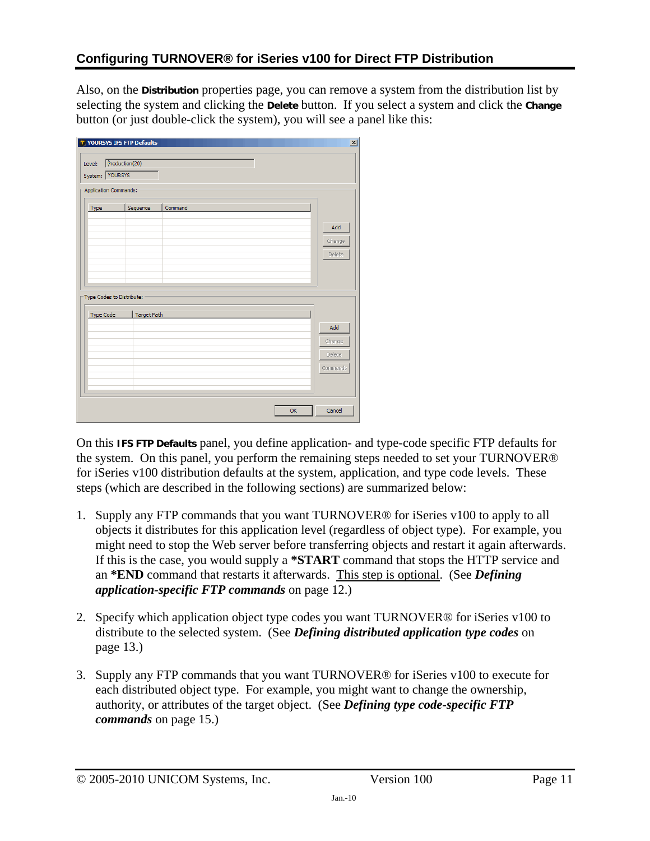Also, on the **Distribution** properties page, you can remove a system from the distribution list by selecting the system and clicking the **Delete** button. If you select a system and click the **Change** button (or just double-click the system), you will see a panel like this:

|                  | Application Commands:     |         |               |
|------------------|---------------------------|---------|---------------|
| Type             | Sequence                  | Command |               |
|                  |                           |         | Add           |
|                  |                           |         | Change        |
|                  |                           |         | Delete        |
|                  |                           |         |               |
|                  | Type Codes to Distribute: |         |               |
|                  |                           |         |               |
| <b>Type Code</b> | <b>Target Path</b>        |         | Add           |
|                  |                           |         | Change        |
|                  |                           |         | <b>Delete</b> |
|                  |                           |         |               |

On this **IFS FTP Defaults** panel, you define application- and type-code specific FTP defaults for the system. On this panel, you perform the remaining steps needed to set your TURNOVER® for iSeries v100 distribution defaults at the system, application, and type code levels. These steps (which are described in the following sections) are summarized below:

- 1. Supply any FTP commands that you want TURNOVER® for iSeries v100 to apply to all objects it distributes for this application level (regardless of object type). For example, you might need to stop the Web server before transferring objects and restart it again afterwards. If this is the case, you would supply a **\*START** command that stops the HTTP service and an **\*END** command that restarts it afterwards. This step is optional. (See *[Defining](#page-11-1)  [application-specific FTP commands](#page-11-1)* on page [12.](#page-11-1))
- 2. Specify which application object type codes you want TURNOVER® for iSeries v100 to distribute to the selected system. (See *[Defining distributed application type codes](#page-12-1)* on page [13.](#page-12-1))
- 3. Supply any FTP commands that you want TURNOVER® for iSeries v100 to execute for each distributed object type. For example, you might want to change the ownership, authority, or attributes of the target object. (See *[Defining type code-specific FTP](#page-14-1)  [commands](#page-14-1)* on page [15](#page-14-1).)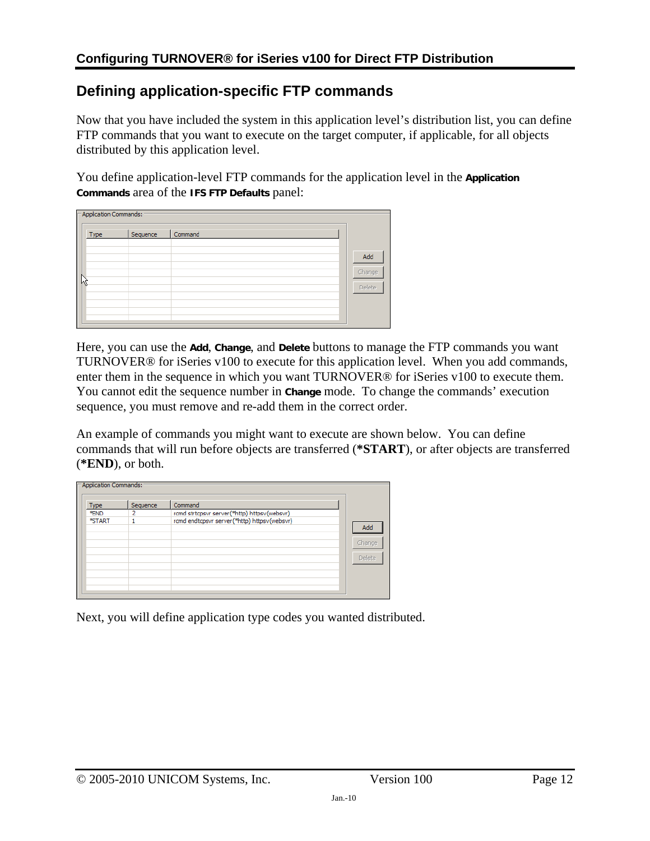### <span id="page-11-1"></span><span id="page-11-0"></span>**Defining application-specific FTP commands**

Now that you have included the system in this application level's distribution list, you can define FTP commands that you want to execute on the target computer, if applicable, for all objects distributed by this application level.

You define application-level FTP commands for the application level in the **Application Commands** area of the **IFS FTP Defaults** panel:

| - Application Commands: |          |         |        |
|-------------------------|----------|---------|--------|
| Type                    | Sequence | Command |        |
|                         |          |         | Add    |
| W                       |          |         | Change |
|                         |          |         | Delete |
|                         |          |         |        |

Here, you can use the **Add**, **Change**, and **Delete** buttons to manage the FTP commands you want TURNOVER® for iSeries v100 to execute for this application level. When you add commands, enter them in the sequence in which you want TURNOVER® for iSeries v100 to execute them. You cannot edit the sequence number in **Change** mode. To change the commands' execution sequence, you must remove and re-add them in the correct order.

An example of commands you might want to execute are shown below. You can define commands that will run before objects are transferred (**\*START**), or after objects are transferred (**\*END**), or both.

| <b>Type</b> | Sequence | Command                                     |        |
|-------------|----------|---------------------------------------------|--------|
| *END        |          | rcmd strtcpsvr server(*http) httpsv(websvr) |        |
| *START      |          | rcmd endtcpsvr server(*http) httpsv(websvr) |        |
|             |          |                                             | Add    |
|             |          |                                             |        |
|             |          |                                             | Change |
|             |          |                                             |        |
|             |          |                                             | Delete |
|             |          |                                             |        |
|             |          |                                             |        |

Next, you will define application type codes you wanted distributed.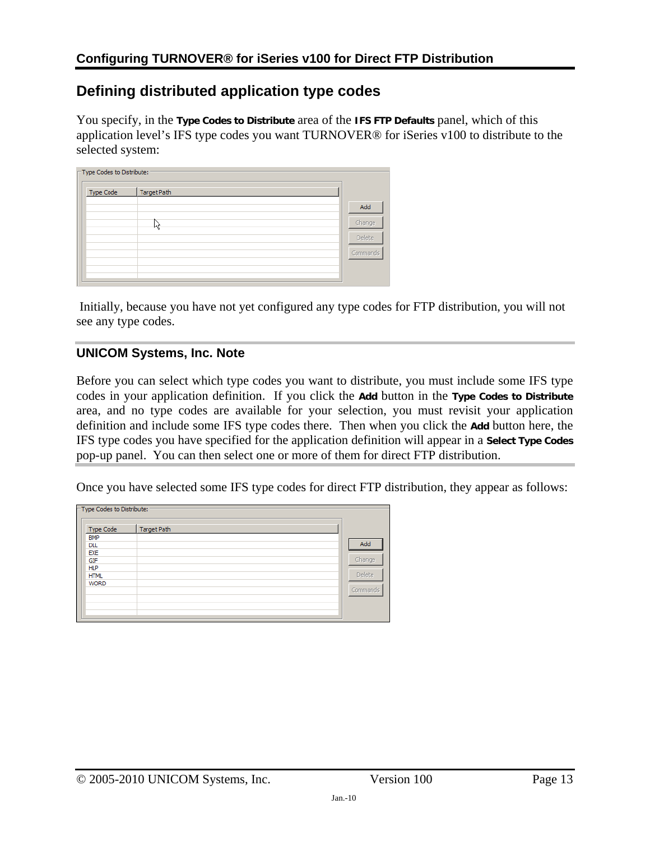### <span id="page-12-1"></span><span id="page-12-0"></span>**Defining distributed application type codes**

You specify, in the **Type Codes to Distribute** area of the **IFS FTP Defaults** panel, which of this application level's IFS type codes you want TURNOVER® for iSeries v100 to distribute to the selected system:

| □ Type Codes to Distribute: |             |          |
|-----------------------------|-------------|----------|
| Type Code                   | Target Path |          |
|                             |             | Add      |
|                             | l45         | Change   |
|                             |             | Delete   |
|                             |             | Commands |
|                             |             |          |
|                             |             |          |

 Initially, because you have not yet configured any type codes for FTP distribution, you will not see any type codes.

#### **UNICOM Systems, Inc. Note**

Before you can select which type codes you want to distribute, you must include some IFS type codes in your application definition. If you click the **Add** button in the **Type Codes to Distribute** area, and no type codes are available for your selection, you must revisit your application definition and include some IFS type codes there. Then when you click the **Add** button here, the IFS type codes you have specified for the application definition will appear in a **Select Type Codes** pop-up panel. You can then select one or more of them for direct FTP distribution.

Once you have selected some IFS type codes for direct FTP distribution, they appear as follows:

| -Type Codes to Distribute: |             |          |
|----------------------------|-------------|----------|
| <b>Type Code</b>           | Target Path |          |
| <b>BMP</b>                 |             |          |
| <b>DLL</b>                 |             | Add      |
| EXE                        |             |          |
| GIF                        |             | Change   |
| <b>HLP</b>                 |             |          |
| <b>HTML</b>                |             | Delete   |
| <b>WORD</b>                |             |          |
|                            |             | Commands |
|                            |             |          |
|                            |             |          |
|                            |             |          |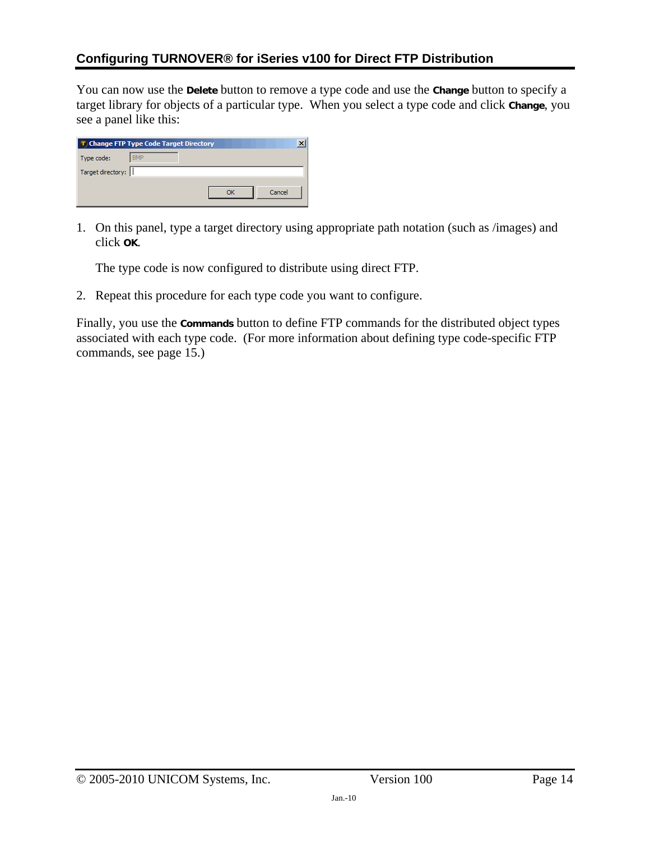You can now use the **Delete** button to remove a type code and use the **Change** button to specify a target library for objects of a particular type. When you select a type code and click **Change**, you see a panel like this:

| T Change FTP Type Code Target Directory |
|-----------------------------------------|
| <b>BMP</b><br>Type code:                |
| Target directory:                       |
| Cancel                                  |

1. On this panel, type a target directory using appropriate path notation (such as /images) and click **OK**.

The type code is now configured to distribute using direct FTP.

2. Repeat this procedure for each type code you want to configure.

Finally, you use the **Commands** button to define FTP commands for the distributed object types associated with each type code. (For more information about defining type code-specific FTP commands, see page [15.](#page-14-1))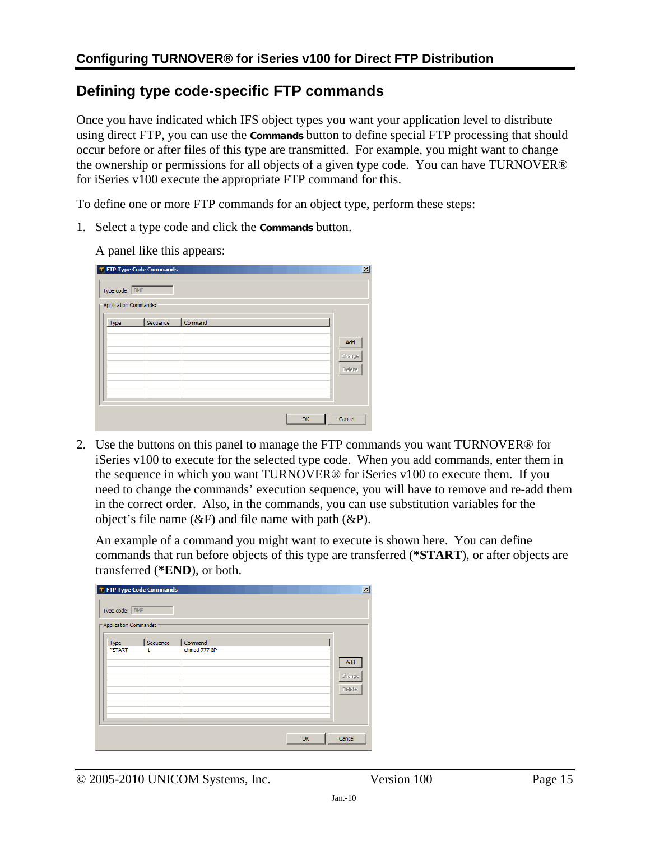### <span id="page-14-1"></span><span id="page-14-0"></span>**Defining type code-specific FTP commands**

Once you have indicated which IFS object types you want your application level to distribute using direct FTP, you can use the **Commands** button to define special FTP processing that should occur before or after files of this type are transmitted. For example, you might want to change the ownership or permissions for all objects of a given type code. You can have TURNOVER® for iSeries v100 execute the appropriate FTP command for this.

To define one or more FTP commands for an object type, perform these steps:

- 1. Select a type code and click the **Commands** button.
	- A panel like this appears:

| Type code: BMP<br>Application Commands: | <b>T</b> FTP Type Code Commands |         |  |    | $\vert x \vert$         |
|-----------------------------------------|---------------------------------|---------|--|----|-------------------------|
| Type                                    | Sequence                        | Command |  |    | Add<br>Change<br>Delete |
|                                         |                                 |         |  | OK | Cancel                  |

2. Use the buttons on this panel to manage the FTP commands you want TURNOVER® for iSeries v100 to execute for the selected type code. When you add commands, enter them in the sequence in which you want TURNOVER® for iSeries v100 to execute them. If you need to change the commands' execution sequence, you will have to remove and re-add them in the correct order. Also, in the commands, you can use substitution variables for the object's file name  $(\&$ F) and file name with path  $(\&$ P).

An example of a command you might want to execute is shown here. You can define commands that run before objects of this type are transferred (**\*START**), or after objects are transferred (**\*END**), or both.

| Type code: BMP<br>Application Commands: | <b>T FTP Type Code Commands</b> |              | $\vert x \vert$         |
|-----------------------------------------|---------------------------------|--------------|-------------------------|
| Type                                    | Sequence                        | Command      |                         |
| *START                                  | 1                               | chmod 777 &P | Add<br>Change<br>Delete |
|                                         |                                 |              | Cancel<br>OK            |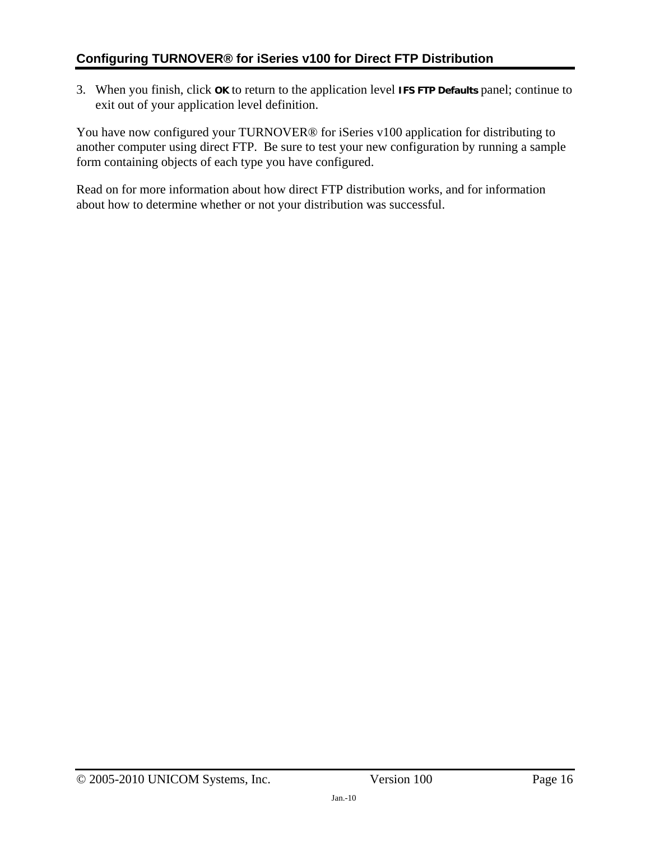3. When you finish, click **OK** to return to the application level **IFS FTP Defaults** panel; continue to exit out of your application level definition.

You have now configured your TURNOVER® for iSeries v100 application for distributing to another computer using direct FTP. Be sure to test your new configuration by running a sample form containing objects of each type you have configured.

Read on for more information about how direct FTP distribution works, and for information about how to determine whether or not your distribution was successful.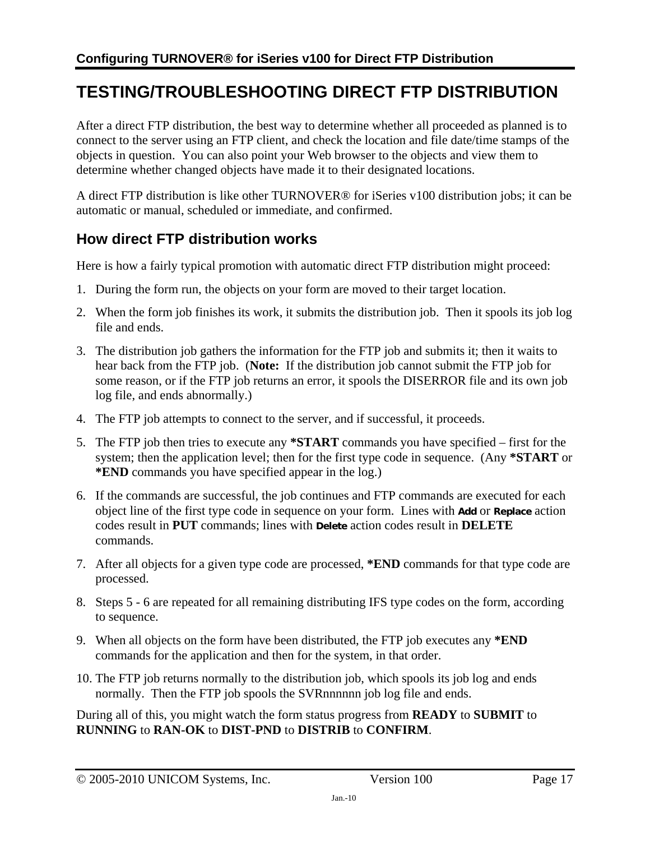## <span id="page-16-1"></span><span id="page-16-0"></span>**TESTING/TROUBLESHOOTING DIRECT FTP DISTRIBUTION**

After a direct FTP distribution, the best way to determine whether all proceeded as planned is to connect to the server using an FTP client, and check the location and file date/time stamps of the objects in question. You can also point your Web browser to the objects and view them to determine whether changed objects have made it to their designated locations.

A direct FTP distribution is like other TURNOVER® for iSeries v100 distribution jobs; it can be automatic or manual, scheduled or immediate, and confirmed.

## <span id="page-16-2"></span>**How direct FTP distribution works**

Here is how a fairly typical promotion with automatic direct FTP distribution might proceed:

- 1. During the form run, the objects on your form are moved to their target location.
- 2. When the form job finishes its work, it submits the distribution job. Then it spools its job log file and ends.
- 3. The distribution job gathers the information for the FTP job and submits it; then it waits to hear back from the FTP job. (**Note:** If the distribution job cannot submit the FTP job for some reason, or if the FTP job returns an error, it spools the DISERROR file and its own job log file, and ends abnormally.)
- 4. The FTP job attempts to connect to the server, and if successful, it proceeds.
- <span id="page-16-3"></span>5. The FTP job then tries to execute any **\*START** commands you have specified – first for the system; then the application level; then for the first type code in sequence. (Any **\*START** or **\*END** commands you have specified appear in the log.)
- <span id="page-16-4"></span>6. If the commands are successful, the job continues and FTP commands are executed for each object line of the first type code in sequence on your form. Lines with **Add** or **Replace** action codes result in **PUT** commands; lines with **Delete** action codes result in **DELETE** commands.
- 7. After all objects for a given type code are processed, **\*END** commands for that type code are processed.
- 8. Steps [5](#page-16-3) - [6](#page-16-4) are repeated for all remaining distributing IFS type codes on the form, according to sequence.
- 9. When all objects on the form have been distributed, the FTP job executes any **\*END** commands for the application and then for the system, in that order.
- 10. The FTP job returns normally to the distribution job, which spools its job log and ends normally. Then the FTP job spools the SVRnnnnnn job log file and ends.

During all of this, you might watch the form status progress from **READY** to **SUBMIT** to **RUNNING** to **RAN-OK** to **DIST-PND** to **DISTRIB** to **CONFIRM**.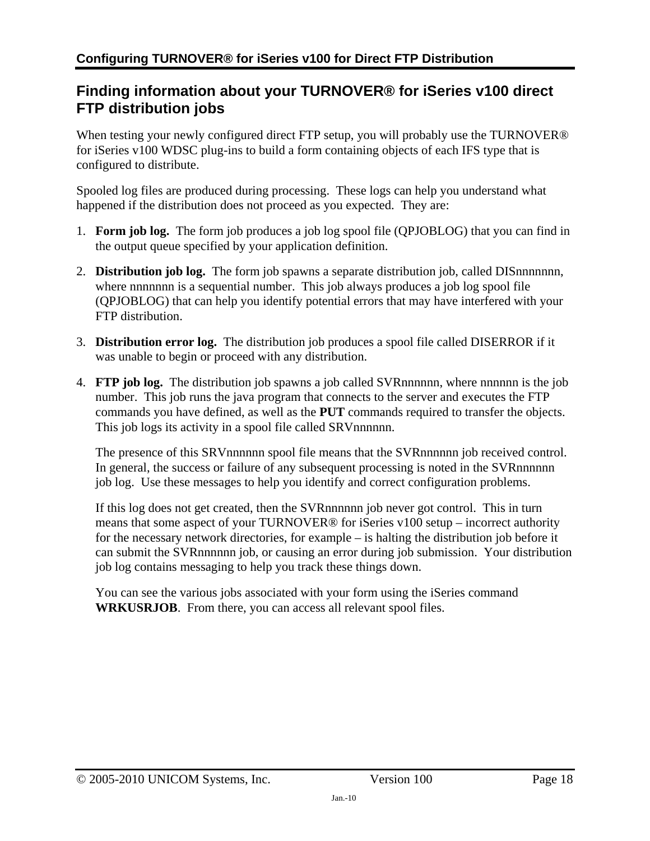### <span id="page-17-1"></span><span id="page-17-0"></span>**Finding information about your TURNOVER® for iSeries v100 direct FTP distribution jobs**

When testing your newly configured direct FTP setup, you will probably use the TURNOVER<sup>®</sup> for iSeries v100 WDSC plug-ins to build a form containing objects of each IFS type that is configured to distribute.

Spooled log files are produced during processing. These logs can help you understand what happened if the distribution does not proceed as you expected. They are:

- 1. **Form job log.** The form job produces a job log spool file (QPJOBLOG) that you can find in the output queue specified by your application definition.
- 2. **Distribution job log.** The form job spawns a separate distribution job, called DISnnnnnnn, where nnnnnnn is a sequential number. This job always produces a job log spool file (QPJOBLOG) that can help you identify potential errors that may have interfered with your FTP distribution.
- 3. **Distribution error log.** The distribution job produces a spool file called DISERROR if it was unable to begin or proceed with any distribution.
- 4. **FTP job log.** The distribution job spawns a job called SVRnnnnnn, where nnnnnn is the job number. This job runs the java program that connects to the server and executes the FTP commands you have defined, as well as the **PUT** commands required to transfer the objects. This job logs its activity in a spool file called SRVnnnnnn.

The presence of this SRVnnnnnn spool file means that the SVRnnnnnn job received control. In general, the success or failure of any subsequent processing is noted in the SVRnnnnnn job log. Use these messages to help you identify and correct configuration problems.

If this log does not get created, then the SVRnnnnnn job never got control. This in turn means that some aspect of your TURNOVER® for iSeries v100 setup – incorrect authority for the necessary network directories, for example – is halting the distribution job before it can submit the SVRnnnnnn job, or causing an error during job submission. Your distribution job log contains messaging to help you track these things down.

You can see the various jobs associated with your form using the iSeries command **WRKUSRJOB**. From there, you can access all relevant spool files.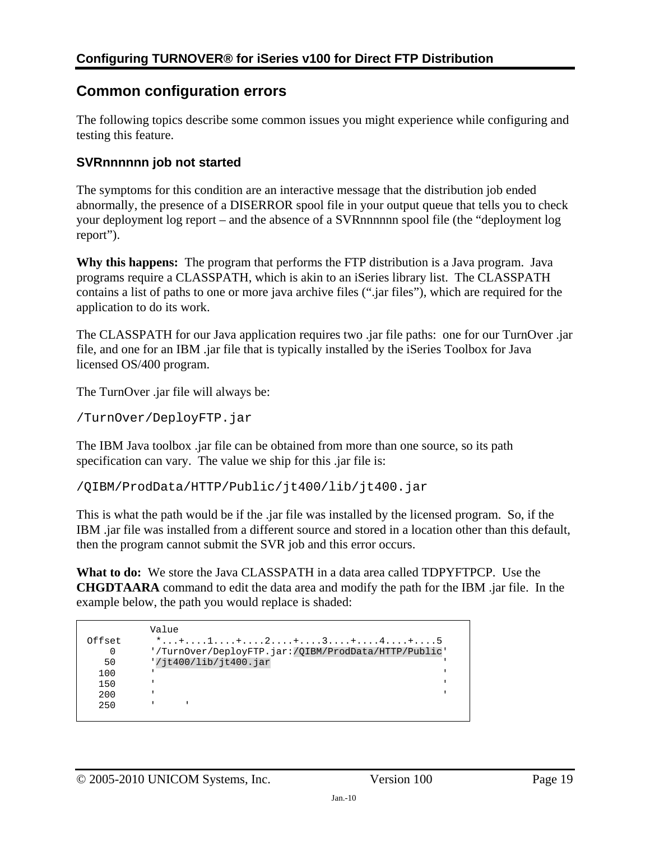### <span id="page-18-1"></span><span id="page-18-0"></span>**Common configuration errors**

The following topics describe some common issues you might experience while configuring and testing this feature.

#### <span id="page-18-2"></span>**SVRnnnnnn job not started**

The symptoms for this condition are an interactive message that the distribution job ended abnormally, the presence of a DISERROR spool file in your output queue that tells you to check your deployment log report – and the absence of a SVRnnnnnn spool file (the "deployment log report").

**Why this happens:** The program that performs the FTP distribution is a Java program. Java programs require a CLASSPATH, which is akin to an iSeries library list. The CLASSPATH contains a list of paths to one or more java archive files (".jar files"), which are required for the application to do its work.

The CLASSPATH for our Java application requires two .jar file paths: one for our TurnOver .jar file, and one for an IBM .jar file that is typically installed by the iSeries Toolbox for Java licensed OS/400 program.

The TurnOver .jar file will always be:

/TurnOver/DeployFTP.jar

The IBM Java toolbox .jar file can be obtained from more than one source, so its path specification can vary. The value we ship for this .jar file is:

/QIBM/ProdData/HTTP/Public/jt400/lib/jt400.jar

This is what the path would be if the .jar file was installed by the licensed program. So, if the IBM .jar file was installed from a different source and stored in a location other than this default, then the program cannot submit the SVR job and this error occurs.

**What to do:** We store the Java CLASSPATH in a data area called TDPYFTPCP. Use the **CHGDTAARA** command to edit the data area and modify the path for the IBM .jar file. In the example below, the path you would replace is shaded:

```
Value<br>Offset *...
      *...+...1......+...2......+...3......... 0 '/TurnOver/DeployFTP.jar:/QIBM/ProdData/HTTP/Public' 
      '/jt400/lib/jt400.jar
100 \blacksquare150 '200 \blacksquare 250 ' '
```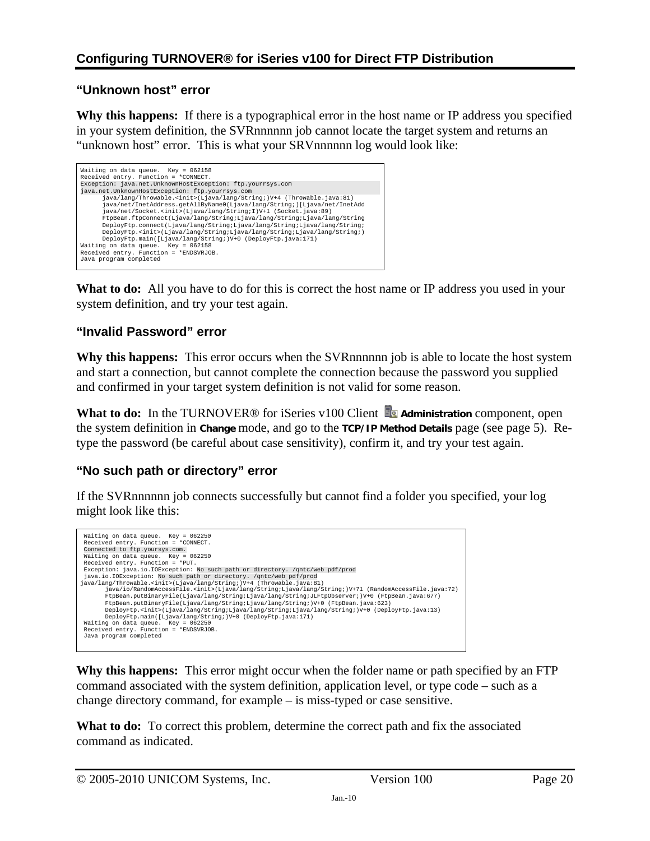### **"Unknown host" error**

**Why this happens:** If there is a typographical error in the host name or IP address you specified in your system definition, the SVRnnnnnn job cannot locate the target system and returns an "unknown host" error. This is what your SRVnnnnnn log would look like:

| Waiting on data queue. Key = 062158<br>Received entry. Function = *CONNECT.                                                                                                                                                                                                                                                                                                                                                                                                                                                                                                                                                                                       |
|-------------------------------------------------------------------------------------------------------------------------------------------------------------------------------------------------------------------------------------------------------------------------------------------------------------------------------------------------------------------------------------------------------------------------------------------------------------------------------------------------------------------------------------------------------------------------------------------------------------------------------------------------------------------|
| Exception: java.net.UnknownHostException: ftp.yourrsys.com                                                                                                                                                                                                                                                                                                                                                                                                                                                                                                                                                                                                        |
| java.net.UnknownHostException: ftp.yourrsys.com                                                                                                                                                                                                                                                                                                                                                                                                                                                                                                                                                                                                                   |
| java/lang/Throwable. <init>(Ljava/lang/String;)V+4 (Throwable.java:81)<br/>java/net/InetAddress.qetAllByName0(Ljava/lanq/String;)[Ljava/net/InetAdd<br/>java/net/Socket.<init>(Ljava/lang/String;I)V+1 (Socket.java:89)<br/>FtpBean.ftpConnect(Ljava/lang/String;Ljava/lang/String;Ljava/lang/String<br/>DeployFtp.connect(Ljava/lang/String;Ljava/lang/String;Ljava/lang/String;<br/>DeployFtp.<init>(Ljava/lanq/String;Ljava/lang/String;Ljava/lang/String;)<br/>DeployFtp.main([Ljava/lang/String;)V+0 (DeployFtp.java:171)<br/>Waiting on data queue. Key = 062158<br/>Received entry. Function = *ENDSVRJOB.<br/>Java program completed</init></init></init> |

**What to do:** All you have to do for this is correct the host name or IP address you used in your system definition, and try your test again.

#### **"Invalid Password" error**

**Why this happens:** This error occurs when the SVRnnnnnn job is able to locate the host system and start a connection, but cannot complete the connection because the password you supplied and confirmed in your target system definition is not valid for some reason.

What to do: In the TURNOVER<sup>®</sup> for iSeries v100 Client **A** Administration component, open the system definition in **Change** mode, and go to the **TCP/IP Method Details** page (see page [5\)](#page-4-0). Retype the password (be careful about case sensitivity), confirm it, and try your test again.

### **"No such path or directory" error**

If the SVRnnnnnn job connects successfully but cannot find a folder you specified, your log might look like this:



**Why this happens:** This error might occur when the folder name or path specified by an FTP command associated with the system definition, application level, or type code – such as a change directory command, for example – is miss-typed or case sensitive.

**What to do:** To correct this problem, determine the correct path and fix the associated command as indicated.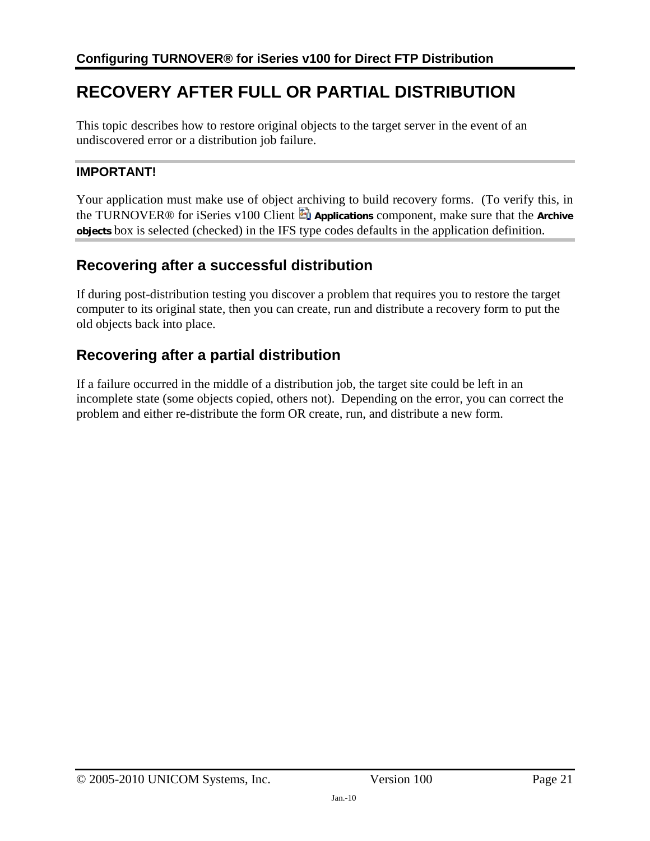## <span id="page-20-1"></span><span id="page-20-0"></span>**RECOVERY AFTER FULL OR PARTIAL DISTRIBUTION**

This topic describes how to restore original objects to the target server in the event of an undiscovered error or a distribution job failure.

#### **IMPORTANT!**

Your application must make use of object archiving to build recovery forms. (To verify this, in the TURNOVER® for iSeries v100 Client **Applications** component, make sure that the **Archive objects** box is selected (checked) in the IFS type codes defaults in the application definition.

### <span id="page-20-2"></span>**Recovering after a successful distribution**

If during post-distribution testing you discover a problem that requires you to restore the target computer to its original state, then you can create, run and distribute a recovery form to put the old objects back into place.

## <span id="page-20-3"></span>**Recovering after a partial distribution**

If a failure occurred in the middle of a distribution job, the target site could be left in an incomplete state (some objects copied, others not). Depending on the error, you can correct the problem and either re-distribute the form OR create, run, and distribute a new form.